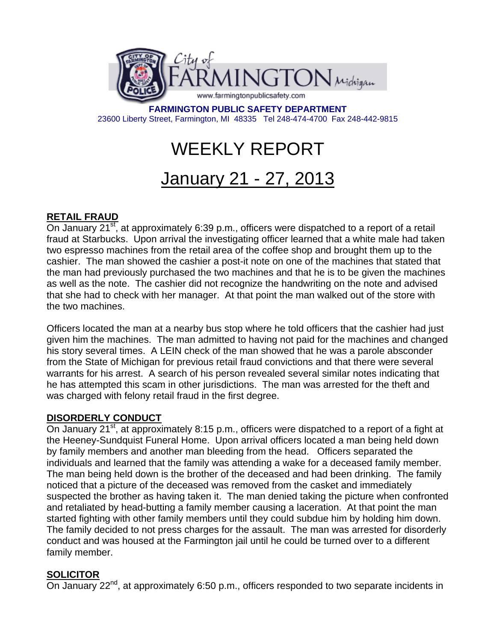

**FARMINGTON PUBLIC SAFETY DEPARTMENT**  23600 Liberty Street, Farmington, MI 48335 Tel 248-474-4700 Fax 248-442-9815

# WEEKLY REPORT

## January 21 - 27, 2013

### **RETAIL FRAUD**

On January  $21^{st}$ , at approximately 6:39 p.m., officers were dispatched to a report of a retail fraud at Starbucks. Upon arrival the investigating officer learned that a white male had taken two espresso machines from the retail area of the coffee shop and brought them up to the cashier. The man showed the cashier a post-it note on one of the machines that stated that the man had previously purchased the two machines and that he is to be given the machines as well as the note. The cashier did not recognize the handwriting on the note and advised that she had to check with her manager. At that point the man walked out of the store with the two machines.

Officers located the man at a nearby bus stop where he told officers that the cashier had just given him the machines. The man admitted to having not paid for the machines and changed his story several times. A LEIN check of the man showed that he was a parole absconder from the State of Michigan for previous retail fraud convictions and that there were several warrants for his arrest. A search of his person revealed several similar notes indicating that he has attempted this scam in other jurisdictions. The man was arrested for the theft and was charged with felony retail fraud in the first degree.

#### **DISORDERLY CONDUCT**

On January 21<sup>st</sup>, at approximately 8:15 p.m., officers were dispatched to a report of a fight at the Heeney-Sundquist Funeral Home. Upon arrival officers located a man being held down by family members and another man bleeding from the head. Officers separated the individuals and learned that the family was attending a wake for a deceased family member. The man being held down is the brother of the deceased and had been drinking. The family noticed that a picture of the deceased was removed from the casket and immediately suspected the brother as having taken it. The man denied taking the picture when confronted and retaliated by head-butting a family member causing a laceration. At that point the man started fighting with other family members until they could subdue him by holding him down. The family decided to not press charges for the assault. The man was arrested for disorderly conduct and was housed at the Farmington jail until he could be turned over to a different family member.

#### **SOLICITOR**

On January 22<sup>nd</sup>, at approximately 6:50 p.m., officers responded to two separate incidents in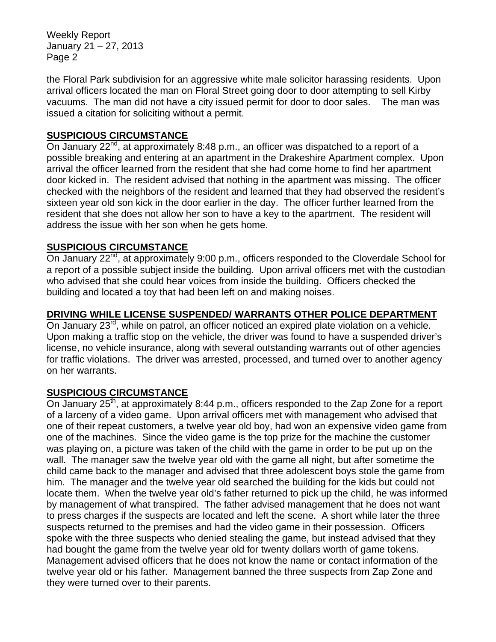Weekly Report January 21 – 27, 2013 Page 2

the Floral Park subdivision for an aggressive white male solicitor harassing residents. Upon arrival officers located the man on Floral Street going door to door attempting to sell Kirby vacuums. The man did not have a city issued permit for door to door sales. The man was issued a citation for soliciting without a permit.

#### **SUSPICIOUS CIRCUMSTANCE**

On January 22<sup>nd</sup>, at approximately 8:48 p.m., an officer was dispatched to a report of a possible breaking and entering at an apartment in the Drakeshire Apartment complex. Upon arrival the officer learned from the resident that she had come home to find her apartment door kicked in. The resident advised that nothing in the apartment was missing. The officer checked with the neighbors of the resident and learned that they had observed the resident's sixteen year old son kick in the door earlier in the day. The officer further learned from the resident that she does not allow her son to have a key to the apartment. The resident will address the issue with her son when he gets home.

#### **SUSPICIOUS CIRCUMSTANCE**

On January 22<sup>nd</sup>, at approximately 9:00 p.m., officers responded to the Cloverdale School for a report of a possible subject inside the building. Upon arrival officers met with the custodian who advised that she could hear voices from inside the building. Officers checked the building and located a toy that had been left on and making noises.

#### **DRIVING WHILE LICENSE SUSPENDED/ WARRANTS OTHER POLICE DEPARTMENT**

On January 23<sup>rd</sup>, while on patrol, an officer noticed an expired plate violation on a vehicle. Upon making a traffic stop on the vehicle, the driver was found to have a suspended driver's license, no vehicle insurance, along with several outstanding warrants out of other agencies for traffic violations. The driver was arrested, processed, and turned over to another agency on her warrants.

#### **SUSPICIOUS CIRCUMSTANCE**

On January  $25<sup>th</sup>$ , at approximately 8:44 p.m., officers responded to the Zap Zone for a report of a larceny of a video game. Upon arrival officers met with management who advised that one of their repeat customers, a twelve year old boy, had won an expensive video game from one of the machines. Since the video game is the top prize for the machine the customer was playing on, a picture was taken of the child with the game in order to be put up on the wall. The manager saw the twelve year old with the game all night, but after sometime the child came back to the manager and advised that three adolescent boys stole the game from him. The manager and the twelve year old searched the building for the kids but could not locate them. When the twelve year old's father returned to pick up the child, he was informed by management of what transpired. The father advised management that he does not want to press charges if the suspects are located and left the scene. A short while later the three suspects returned to the premises and had the video game in their possession. Officers spoke with the three suspects who denied stealing the game, but instead advised that they had bought the game from the twelve year old for twenty dollars worth of game tokens. Management advised officers that he does not know the name or contact information of the twelve year old or his father. Management banned the three suspects from Zap Zone and they were turned over to their parents.